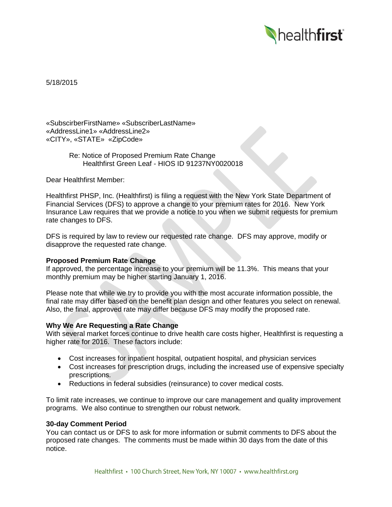

5/18/2015

«SubscirberFirstName» «SubscriberLastName» «AddressLine1» «AddressLine2» «CITY», «STATE» «ZipCode»

> Re: Notice of Proposed Premium Rate Change Healthfirst Green Leaf - HIOS ID 91237NY0020018

Dear Healthfirst Member:

Healthfirst PHSP, Inc. (Healthfirst) is filing a request with the New York State Department of Financial Services (DFS) to approve a change to your premium rates for 2016. New York Insurance Law requires that we provide a notice to you when we submit requests for premium rate changes to DFS.

DFS is required by law to review our requested rate change. DFS may approve, modify or disapprove the requested rate change.

# **Proposed Premium Rate Change**

If approved, the percentage increase to your premium will be 11.3%. This means that your monthly premium may be higher starting January 1, 2016.

Please note that while we try to provide you with the most accurate information possible, the final rate may differ based on the benefit plan design and other features you select on renewal. Also, the final, approved rate may differ because DFS may modify the proposed rate.

## **Why We Are Requesting a Rate Change**

With several market forces continue to drive health care costs higher, Healthfirst is requesting a higher rate for 2016. These factors include:

- Cost increases for inpatient hospital, outpatient hospital, and physician services
- Cost increases for prescription drugs, including the increased use of expensive specialty prescriptions.
- Reductions in federal subsidies (reinsurance) to cover medical costs.

To limit rate increases, we continue to improve our care management and quality improvement programs. We also continue to strengthen our robust network.

#### **30-day Comment Period**

You can contact us or DFS to ask for more information or submit comments to DFS about the proposed rate changes. The comments must be made within 30 days from the date of this notice.